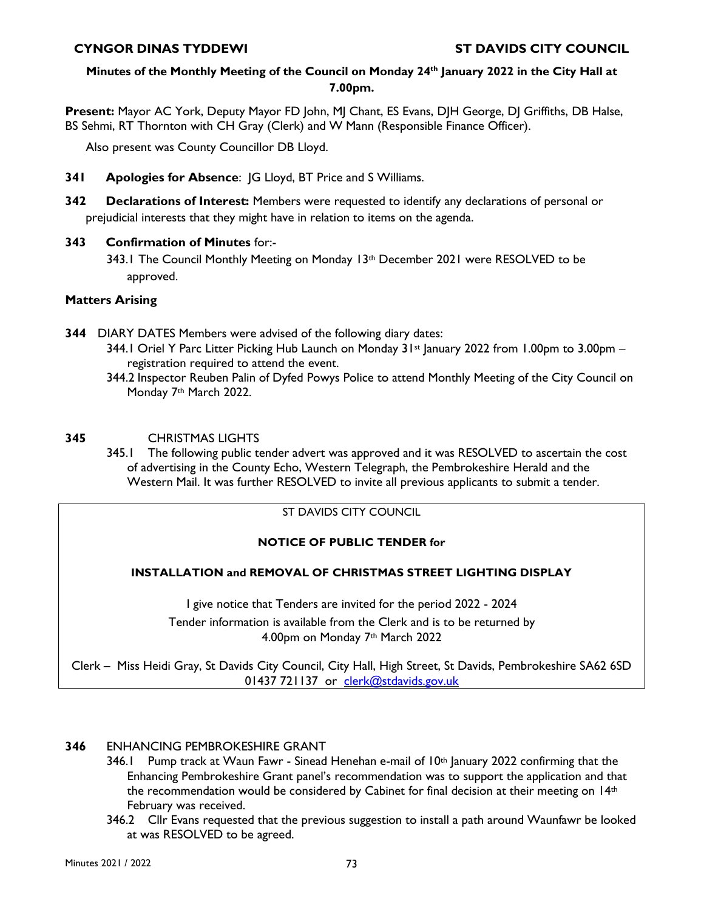# **Minutes of the Monthly Meeting of the Council on Monday 24th January 2022 in the City Hall at 7.00pm.**

**Present:** Mayor AC York, Deputy Mayor FD John, MJ Chant, ES Evans, DJH George, DJ Griffiths, DB Halse, BS Sehmi, RT Thornton with CH Gray (Clerk) and W Mann (Responsible Finance Officer).

Also present was County Councillor DB Lloyd.

- **341 Apologies for Absence**: JG Lloyd, BT Price and S Williams.
- **342 Declarations of Interest:** Members were requested to identify any declarations of personal or prejudicial interests that they might have in relation to items on the agenda.

## **343 Confirmation of Minutes** for:-

343.1 The Council Monthly Meeting on Monday 13th December 2021 were RESOLVED to be approved.

# **Matters Arising**

- **344** DIARY DATES Members were advised of the following diary dates:
	- 344.1 Oriel Y Parc Litter Picking Hub Launch on Monday  $31st$  January 2022 from 1.00pm to 3.00pm registration required to attend the event.
	- 344.2 Inspector Reuben Palin of Dyfed Powys Police to attend Monthly Meeting of the City Council on Monday 7<sup>th</sup> March 2022.

## **345** CHRISTMAS LIGHTS

345.1 The following public tender advert was approved and it was RESOLVED to ascertain the cost of advertising in the County Echo, Western Telegraph, the Pembrokeshire Herald and the Western Mail. It was further RESOLVED to invite all previous applicants to submit a tender.

### ST DAVIDS CITY COUNCIL

# **NOTICE OF PUBLIC TENDER for**

#### **INSTALLATION and REMOVAL OF CHRISTMAS STREET LIGHTING DISPLAY**

I give notice that Tenders are invited for the period 2022 - 2024 Tender information is available from the Clerk and is to be returned by 4.00pm on Monday 7th March 2022

Clerk – Miss Heidi Gray, St Davids City Council, City Hall, High Street, St Davids, Pembrokeshire SA62 6SD 01437 721137 or clerk@stdavids.gov.uk

#### **346** ENHANCING PEMBROKESHIRE GRANT

- 346.1 Pump track at Waun Fawr Sinead Henehan e-mail of 10<sup>th</sup> January 2022 confirming that the Enhancing Pembrokeshire Grant panel's recommendation was to support the application and that the recommendation would be considered by Cabinet for final decision at their meeting on 14<sup>th</sup> February was received.
- 346.2 Cllr Evans requested that the previous suggestion to install a path around Waunfawr be looked at was RESOLVED to be agreed.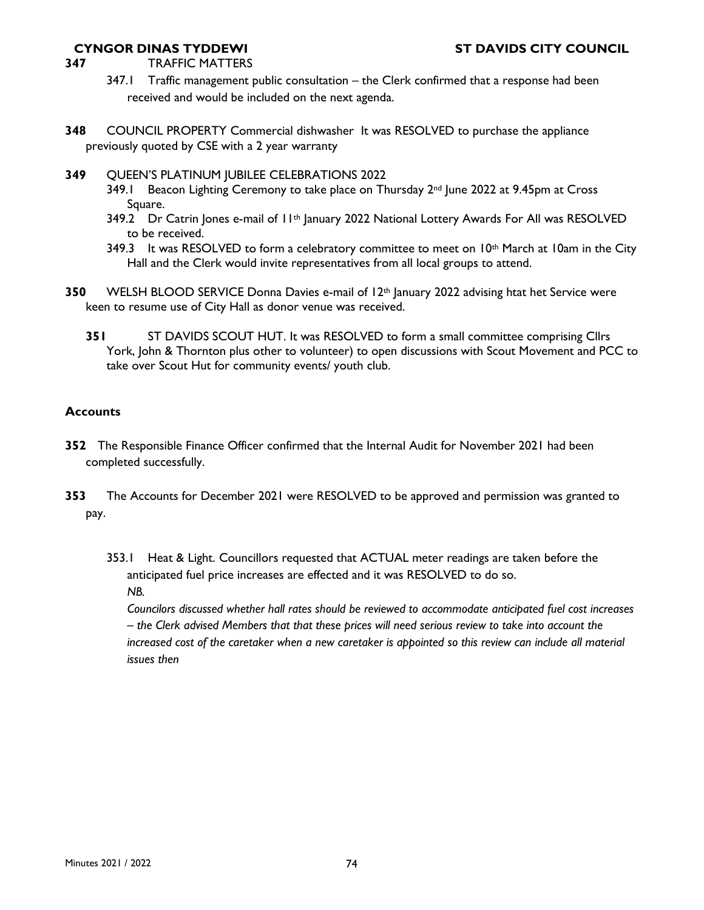- **347** TRAFFIC MATTERS
	- 347.1 Traffic management public consultation the Clerk confirmed that a response had been received and would be included on the next agenda.
- **348** COUNCIL PROPERTY Commercial dishwasher It was RESOLVED to purchase the appliance previously quoted by CSE with a 2 year warranty
- **349** QUEEN'S PLATINUM JUBILEE CELEBRATIONS 2022
	- 349.1 Beacon Lighting Ceremony to take place on Thursday 2<sup>nd</sup> June 2022 at 9.45pm at Cross Square.
	- 349.2 Dr Catrin Jones e-mail of 11<sup>th</sup> January 2022 National Lottery Awards For All was RESOLVED to be received.
	- 349.3 It was RESOLVED to form a celebratory committee to meet on  $10<sup>th</sup>$  March at 10am in the City Hall and the Clerk would invite representatives from all local groups to attend.
- **350** WELSH BLOOD SERVICE Donna Davies e-mail of 12th January 2022 advising htat het Service were keen to resume use of City Hall as donor venue was received.
	- **351** ST DAVIDS SCOUT HUT. It was RESOLVED to form a small committee comprising Cllrs York, John & Thornton plus other to volunteer) to open discussions with Scout Movement and PCC to take over Scout Hut for community events/ youth club.

#### **Accounts**

- **352** The Responsible Finance Officer confirmed that the Internal Audit for November 2021 had been completed successfully.
- **353** The Accounts for December 2021 were RESOLVED to be approved and permission was granted to pay.
	- 353.1 Heat & Light. Councillors requested that ACTUAL meter readings are taken before the anticipated fuel price increases are effected and it was RESOLVED to do so. *NB.*

*Councilors discussed whether hall rates should be reviewed to accommodate anticipated fuel cost increases – the Clerk advised Members that that these prices will need serious review to take into account the increased cost of the caretaker when a new caretaker is appointed so this review can include all material issues then*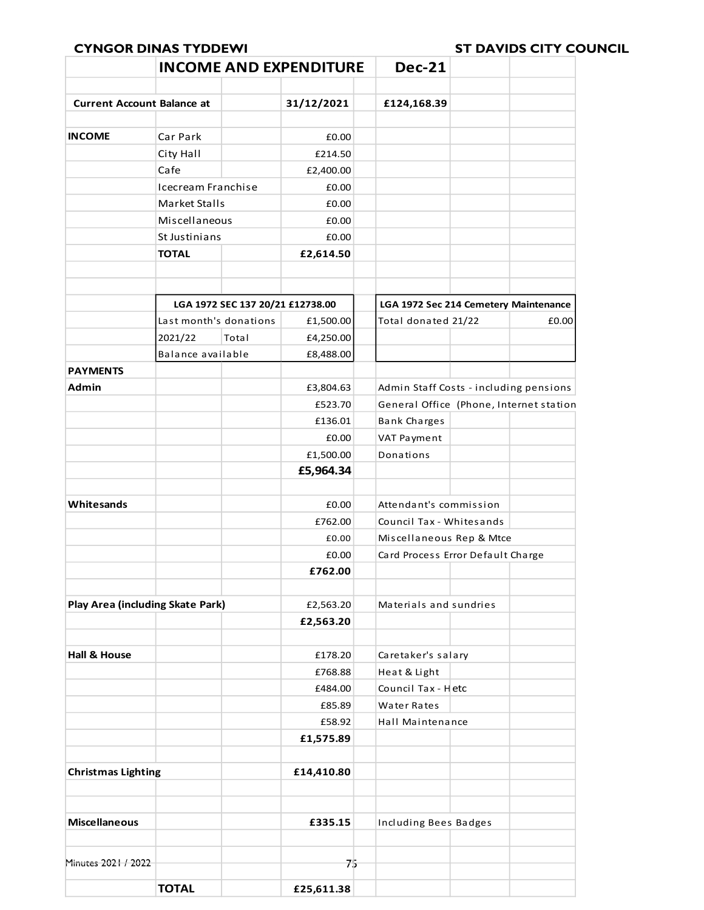|                                         | <b>INCOME AND EXPENDITURE</b> |                                  |                | <b>Dec-21</b>                                                 |  |       |
|-----------------------------------------|-------------------------------|----------------------------------|----------------|---------------------------------------------------------------|--|-------|
| <b>Current Account Balance at</b>       |                               |                                  | 31/12/2021     | £124,168.39                                                   |  |       |
|                                         |                               |                                  |                |                                                               |  |       |
| <b>INCOME</b>                           | Car Park                      |                                  | £0.00          |                                                               |  |       |
|                                         | City Hall                     |                                  | £214.50        |                                                               |  |       |
|                                         | Cafe                          |                                  | £2,400.00      |                                                               |  |       |
|                                         | Icecream Franchise            |                                  | £0.00          |                                                               |  |       |
|                                         | Market Stalls                 |                                  | £0.00          |                                                               |  |       |
|                                         | Miscellaneous                 |                                  | £0.00<br>£0.00 |                                                               |  |       |
| St Justinians                           |                               |                                  |                |                                                               |  |       |
|                                         | <b>TOTAL</b>                  |                                  | £2,614.50      |                                                               |  |       |
|                                         |                               |                                  |                |                                                               |  |       |
|                                         |                               |                                  |                |                                                               |  |       |
|                                         |                               | LGA 1972 SEC 137 20/21 £12738.00 |                | LGA 1972 Sec 214 Cemetery Maintenance                         |  |       |
|                                         | Last month's donations        |                                  | £1,500.00      | Total donated 21/22                                           |  | £0.00 |
|                                         | 2021/22                       | Total                            | £4,250.00      |                                                               |  |       |
|                                         | Balance available             |                                  | £8,488.00      |                                                               |  |       |
| <b>PAYMENTS</b>                         |                               |                                  |                |                                                               |  |       |
| Admin                                   |                               |                                  | £3,804.63      | Admin Staff Costs - including pensions                        |  |       |
|                                         |                               |                                  | £523.70        | General Office (Phone, Internet station                       |  |       |
|                                         |                               |                                  | £136.01        | <b>Bank Charges</b>                                           |  |       |
|                                         |                               |                                  | £0.00          | VAT Payment                                                   |  |       |
|                                         |                               |                                  | £1,500.00      | Donations                                                     |  |       |
|                                         |                               |                                  | £5,964.34      |                                                               |  |       |
| Whitesands                              |                               |                                  | £0.00          | Attendant's commission                                        |  |       |
|                                         |                               |                                  | £762.00        | Council Tax - Whitesands                                      |  |       |
|                                         |                               |                                  | £0.00          |                                                               |  |       |
|                                         |                               |                                  | £0.00          | Miscellaneous Rep & Mtce<br>Card Process Error Default Charge |  |       |
|                                         |                               |                                  | £762.00        |                                                               |  |       |
|                                         |                               |                                  |                |                                                               |  |       |
| <b>Play Area (including Skate Park)</b> |                               |                                  | £2,563.20      | Materials and sundries                                        |  |       |
|                                         |                               |                                  | £2,563.20      |                                                               |  |       |
|                                         |                               |                                  |                |                                                               |  |       |
| Hall & House                            |                               |                                  | £178.20        | Caretaker's salary                                            |  |       |
|                                         |                               |                                  | £768.88        | Heat & Light                                                  |  |       |
|                                         |                               |                                  | £484.00        | Council Tax - Hetc                                            |  |       |
|                                         |                               |                                  | £85.89         | Water Rates                                                   |  |       |
|                                         |                               |                                  | £58.92         | Hall Maintenance                                              |  |       |
|                                         |                               |                                  | £1,575.89      |                                                               |  |       |
|                                         |                               |                                  |                |                                                               |  |       |
| <b>Christmas Lighting</b>               |                               |                                  | £14,410.80     |                                                               |  |       |
|                                         |                               |                                  |                |                                                               |  |       |
| <b>Miscellaneous</b>                    |                               |                                  | £335.15        | Including Bees Badges                                         |  |       |
|                                         |                               |                                  |                |                                                               |  |       |
| Minutes 2021 / 2022                     |                               |                                  | 乃              |                                                               |  |       |
|                                         |                               |                                  |                |                                                               |  |       |
|                                         | <b>TOTAL</b>                  |                                  | £25,611.38     |                                                               |  |       |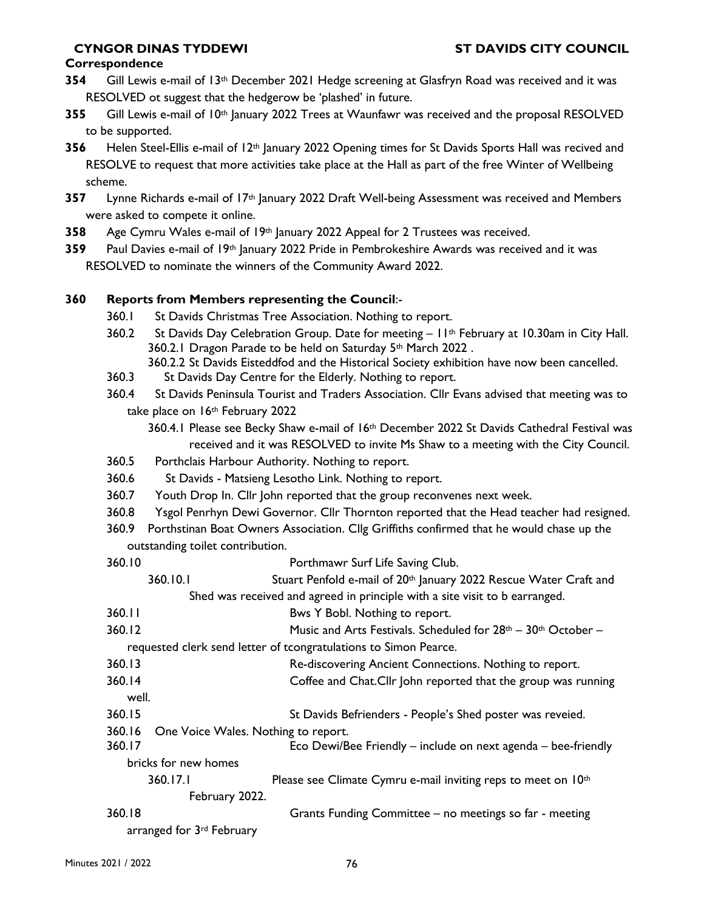#### **Correspondence**

- **354** Gill Lewis e-mail of 13th December 2021 Hedge screening at Glasfryn Road was received and it was RESOLVED ot suggest that the hedgerow be 'plashed' in future.
- **355** Gill Lewis e-mail of 10th January 2022 Trees at Waunfawr was received and the proposal RESOLVED to be supported.
- **356** Helen Steel-Ellis e-mail of 12<sup>th</sup> January 2022 Opening times for St Davids Sports Hall was recived and RESOLVE to request that more activities take place at the Hall as part of the free Winter of Wellbeing scheme.
- **357** Lynne Richards e-mail of 17th January 2022 Draft Well-being Assessment was received and Members were asked to compete it online.
- **358** Age Cymru Wales e-mail of 19th January 2022 Appeal for 2 Trustees was received.
- **359** Paul Davies e-mail of 19th January 2022 Pride in Pembrokeshire Awards was received and it was RESOLVED to nominate the winners of the Community Award 2022.

## **360 Reports from Members representing the Council**:-

- 360.1 St Davids Christmas Tree Association. Nothing to report.
- 360.2 St Davids Day Celebration Group. Date for meeting  $11<sup>th</sup>$  February at 10.30am in City Hall. 360.2.1 Dragon Parade to be held on Saturday 5th March 2022 . 360.2.2 St Davids Eisteddfod and the Historical Society exhibition have now been cancelled.
- 360.3 St Davids Day Centre for the Elderly. Nothing to report.
- 360.4 St Davids Peninsula Tourist and Traders Association. Cllr Evans advised that meeting was to take place on 16<sup>th</sup> February 2022
	- 360.4.1 Please see Becky Shaw e-mail of 16<sup>th</sup> December 2022 St Davids Cathedral Festival was received and it was RESOLVED to invite Ms Shaw to a meeting with the City Council.
- 360.5 Porthclais Harbour Authority. Nothing to report.
- 360.6 St Davids Matsieng Lesotho Link. Nothing to report.
- 360.7 Youth Drop In. Cllr John reported that the group reconvenes next week.
- 360.8 Ysgol Penrhyn Dewi Governor. Cllr Thornton reported that the Head teacher had resigned.
- 360.9 Porthstinan Boat Owners Association. Cllg Griffiths confirmed that he would chase up the outstanding toilet contribution.
- 360.10 Porthmawr Surf Life Saving Club. 360.10.1 Stuart Penfold e-mail of 20<sup>th</sup> January 2022 Rescue Water Craft and Shed was received and agreed in principle with a site visit to b earranged. 360.11 Bws Y Bobl. Nothing to report. 360.12 Music and Arts Festivals. Scheduled for  $28$ <sup>th</sup>  $-$  30<sup>th</sup> October – requested clerk send letter of tcongratulations to Simon Pearce. 360.13 Re-discovering Ancient Connections. Nothing to report. 360.14 Coffee and Chat.Cllr John reported that the group was running well. 360.15 St Davids Befrienders - People's Shed poster was reveied. 360.16 One Voice Wales. Nothing to report. 360.17 Eco Dewi/Bee Friendly – include on next agenda – bee-friendly bricks for new homes 360.17.1 Please see Climate Cymru e-mail inviting reps to meet on 10<sup>th</sup> February 2022. 360.18 Grants Funding Committee – no meetings so far - meeting arranged for 3rd February